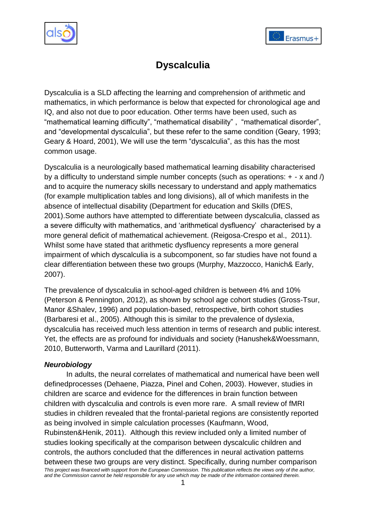



# **Dyscalculia**

Dyscalculia is a SLD affecting the learning and comprehension of arithmetic and mathematics, in which performance is below that expected for chronological age and IQ, and also not due to poor education. Other terms have been used, such as "mathematical learning difficulty", "mathematical disability" , "mathematical disorder", and "developmental dyscalculia", but these refer to the same condition (Geary, 1993; Geary & Hoard, 2001), We will use the term "dyscalculia", as this has the most common usage.

Dyscalculia is a neurologically based mathematical learning disability characterised by a difficulty to understand simple number concepts (such as operations:  $+ - x$  and  $\hat{ }$ ) and to acquire the numeracy skills necessary to understand and apply mathematics (for example multiplication tables and long divisions), all of which manifests in the absence of intellectual disability (Department for education and Skills (DfES, 2001).Some authors have attempted to differentiate between dyscalculia, classed as a severe difficulty with mathematics, and "arithmetical dysfluency" characterised by a more general deficit of mathematical achievement. (Reigosa-Crespo et al., 2011). Whilst some have stated that arithmetic dysfluency represents a more general impairment of which dyscalculia is a subcomponent, so far studies have not found a clear differentiation between these two groups (Murphy, Mazzocco, Hanich& Early, 2007).

The prevalence of dyscalculia in school-aged children is between 4% and 10% (Peterson & Pennington, 2012), as shown by school age cohort studies (Gross-Tsur, Manor &Shalev, 1996) and population-based, retrospective, birth cohort studies (Barbaresi et al., 2005). Although this is similar to the prevalence of dyslexia, dyscalculia has received much less attention in terms of research and public interest. Yet, the effects are as profound for individuals and society (Hanushek&Woessmann, 2010, Butterworth, Varma and Laurillard (2011).

#### *Neurobiology*

*This project was financed with support from the European Commission. This publication reflects the views only of the author, and the Commission cannot be held responsible for any use which may be made of the information contained therein.* In adults, the neural correlates of mathematical and numerical have been well definedprocesses (Dehaene, Piazza, Pinel and Cohen, 2003). However, studies in children are scarce and evidence for the differences in brain function between children with dyscalculia and controls is even more rare. A small review of fMRI studies in children revealed that the frontal-parietal regions are consistently reported as being involved in simple calculation processes (Kaufmann, Wood, Rubinsten&Henik, 2011). Although this review included only a limited number of studies looking specifically at the comparison between dyscalculic children and controls, the authors concluded that the differences in neural activation patterns between these two groups are very distinct. Specifically, during number comparison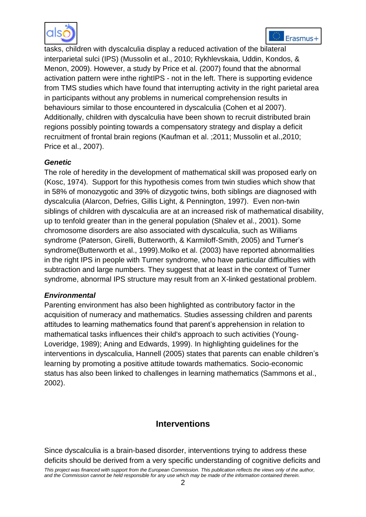



tasks, children with dyscalculia display a reduced activation of the bilateral interparietal sulci (IPS) (Mussolin et al., 2010; Rykhlevskaia, Uddin, Kondos, & Menon, 2009). However, a study by Price et al. (2007) found that the abnormal activation pattern were inthe rightIPS - not in the left. There is supporting evidence from TMS studies which have found that interrupting activity in the right parietal area in participants without any problems in numerical comprehension results in behaviours similar to those encountered in dyscalculia (Cohen et al 2007). Additionally, children with dyscalculia have been shown to recruit distributed brain regions possibly pointing towards a compensatory strategy and display a deficit recruitment of frontal brain regions (Kaufman et al. ;2011; Mussolin et al.,2010; Price et al., 2007).

#### *Genetic*

The role of heredity in the development of mathematical skill was proposed early on (Kosc, 1974). Support for this hypothesis comes from twin studies which show that in 58% of monozygotic and 39% of dizygotic twins, both siblings are diagnosed with dyscalculia (Alarcon, Defries, Gillis Light, & Pennington, 1997). Even non-twin siblings of children with dyscalculia are at an increased risk of mathematical disability, up to tenfold greater than in the general population (Shalev et al., 2001). Some chromosome disorders are also associated with dyscalculia, such as Williams syndrome (Paterson, Girelli, Butterworth, & Karmiloff-Smith, 2005) and Turner"s syndrome(Butterworth et al., 1999).Molko et al. (2003) have reported abnormalities in the right IPS in people with Turner syndrome, who have particular difficulties with subtraction and large numbers. They suggest that at least in the context of Turner syndrome, abnormal IPS structure may result from an X-linked gestational problem.

#### *Environmental*

Parenting environment has also been highlighted as contributory factor in the acquisition of numeracy and mathematics. Studies assessing children and parents attitudes to learning mathematics found that parent"s apprehension in relation to mathematical tasks influences their child's approach to such activities (Young-Loveridge, 1989); Aning and Edwards, 1999). In highlighting guidelines for the interventions in dyscalculia, Hannell (2005) states that parents can enable children"s learning by promoting a positive attitude towards mathematics. Socio-economic status has also been linked to challenges in learning mathematics (Sammons et al., 2002).

## **Interventions**

*This project was financed with support from the European Commission. This publication reflects the views only of the author, and the Commission cannot be held responsible for any use which may be made of the information contained therein.* Since dyscalculia is a brain-based disorder, interventions trying to address these deficits should be derived from a very specific understanding of cognitive deficits and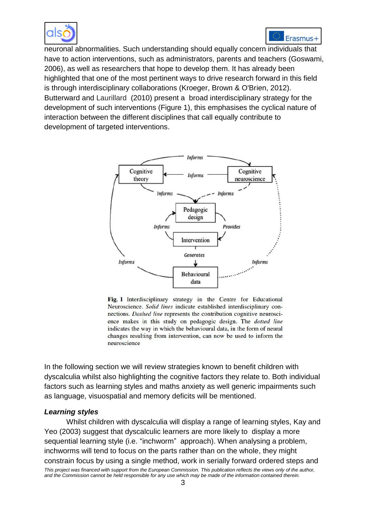



neuronal abnormalities. Such understanding should equally concern individuals that have to action interventions, such as administrators, parents and teachers (Goswami, 2006), as well as researchers that hope to develop them. It has already been highlighted that one of the most pertinent ways to drive research forward in this field is through interdisciplinary collaborations (Kroeger, Brown & O'Brien, 2012). Butterward and Laurillard (2010) present a broad interdisciplinary strategy for the development of such interventions (Figure 1), this emphasises the cyclical nature of interaction between the different disciplines that call equally contribute to development of targeted interventions.



Fig. 1 Interdisciplinary strategy in the Centre for Educational Neuroscience. Solid lines indicate established interdisciplinary connections. Dashed line represents the contribution cognitive neuroscience makes in this study on pedagogic design. The *dotted line* indicates the way in which the behavioural data, in the form of neural changes resulting from intervention, can now be used to inform the neuroscience

In the following section we will review strategies known to benefit children with dyscalculia whilst also highlighting the cognitive factors they relate to. Both individual factors such as learning styles and maths anxiety as well generic impairments such as language, visuospatial and memory deficits will be mentioned.

#### *Learning styles*

*This project was financed with support from the European Commission. This publication reflects the views only of the author, and the Commission cannot be held responsible for any use which may be made of the information contained therein.* Whilst children with dyscalculia will display a range of learning styles, Kay and Yeo (2003) suggest that dyscalculic learners are more likely to display a more sequential learning style (i.e. "inchworm" approach). When analysing a problem, inchworms will tend to focus on the parts rather than on the whole, they might constrain focus by using a single method, work in serially forward ordered steps and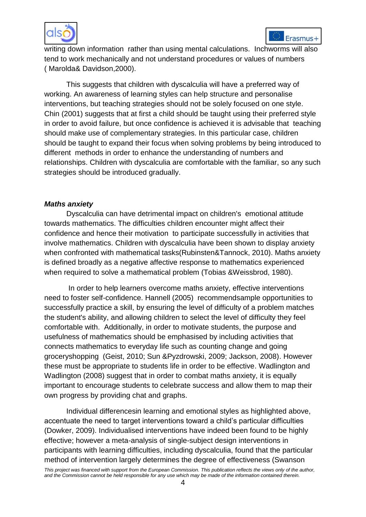



writing down information rather than using mental calculations. Inchworms will also tend to work mechanically and not understand procedures or values of numbers ( Marolda& Davidson,2000).

This suggests that children with dyscalculia will have a preferred way of working. An awareness of learning styles can help structure and personalise interventions, but teaching strategies should not be solely focused on one style. Chin (2001) suggests that at first a child should be taught using their preferred style in order to avoid failure, but once confidence is achieved it is advisable that teaching should make use of complementary strategies. In this particular case, children should be taught to expand their focus when solving problems by being introduced to different methods in order to enhance the understanding of numbers and relationships. Children with dyscalculia are comfortable with the familiar, so any such strategies should be introduced gradually.

#### *Maths anxiety*

Dyscalculia can have detrimental impact on children's emotional attitude towards mathematics. The difficulties children encounter might affect their confidence and hence their motivation to participate successfully in activities that involve mathematics. Children with dyscalculia have been shown to display anxiety when confronted with mathematical tasks(Rubinsten&Tannock, 2010). Maths anxiety is defined broadly as a negative affective response to mathematics experienced when required to solve a mathematical problem (Tobias &Weissbrod, 1980).

In order to help learners overcome maths anxiety, effective interventions need to foster self-confidence. Hannell (2005) recommendsample opportunities to successfully practice a skill, by ensuring the level of difficulty of a problem matches the student's ability, and allowing children to select the level of difficulty they feel comfortable with. Additionally, in order to motivate students, the purpose and usefulness of mathematics should be emphasised by including activities that connects mathematics to everyday life such as counting change and going groceryshopping (Geist, 2010; Sun &Pyzdrowski, 2009; Jackson, 2008). However these must be appropriate to students life in order to be effective. Wadlington and Wadlington (2008) suggest that in order to combat maths anxiety, it is equally important to encourage students to celebrate success and allow them to map their own progress by providing chat and graphs.

Individual differencesin learning and emotional styles as highlighted above, accentuate the need to target interventions toward a child"s particular difficulties (Dowker, 2009). Individualised interventions have indeed been found to be highly effective; however a meta-analysis of single-subject design interventions in participants with learning difficulties, including dyscalculia, found that the particular method of intervention largely determines the degree of effectiveness (Swanson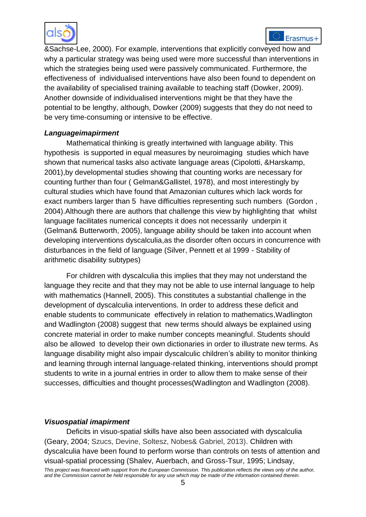



&Sachse-Lee, 2000). For example, interventions that explicitly conveyed how and why a particular strategy was being used were more successful than interventions in which the strategies being used were passively communicated. Furthermore, the effectiveness of individualised interventions have also been found to dependent on the availability of specialised training available to teaching staff (Dowker, 2009). Another downside of individualised interventions might be that they have the potential to be lengthy, although, Dowker (2009) suggests that they do not need to be very time-consuming or intensive to be effective.

#### *Languageimapirment*

Mathematical thinking is greatly intertwined with language ability. This hypothesis is supported in equal measures by neuroimaging studies which have shown that numerical tasks also activate language areas (Cipolotti, &Harskamp, 2001),by developmental studies showing that counting works are necessary for counting further than four ( Gelman&Gallistel, 1978), and most interestingly by cultural studies which have found that Amazonian cultures which lack words for exact numbers larger than 5 have difficulties representing such numbers (Gordon , 2004).Although there are authors that challenge this view by highlighting that whilst language facilitates numerical concepts it does not necessarily underpin it (Gelman& Butterworth, 2005), language ability should be taken into account when developing interventions dyscalculia,as the disorder often occurs in concurrence with disturbances in the field of language (Silver, Pennett et al 1999 - Stability of arithmetic disability subtypes)

For children with dyscalculia this implies that they may not understand the language they recite and that they may not be able to use internal language to help with mathematics (Hannell, 2005). This constitutes a substantial challenge in the development of dyscalculia interventions. In order to address these deficit and enable students to communicate effectively in relation to mathematics,Wadlington and Wadlington (2008) suggest that new terms should always be explained using concrete material in order to make number concepts meaningful. Students should also be allowed to develop their own dictionaries in order to illustrate new terms. As language disability might also impair dyscalculic children's ability to monitor thinking and learning through internal language-related thinking, interventions should prompt students to write in a journal entries in order to allow them to make sense of their successes, difficulties and thought processes(Wadlington and Wadlington (2008).

#### *Visuospatial imapirment*

*This project was financed with support from the European Commission. This publication reflects the views only of the author, and the Commission cannot be held responsible for any use which may be made of the information contained therein.* Deficits in visuo-spatial skills have also been associated with dyscalculia (Geary, 2004; Szucs, Devine, Soltesz, Nobes& Gabriel, 2013). Children with dyscalculia have been found to perform worse than controls on tests of attention and visual-spatial processing (Shalev, Auerbach, and Gross-Tsur, 1995; Lindsay,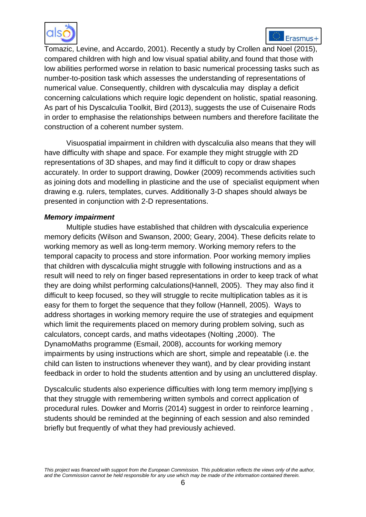

Tomazic, Levine, and Accardo, 2001). Recently a study by Crollen and Noel (2015), compared children with high and low visual spatial ability,and found that those with low abilities performed worse in relation to basic numerical processing tasks such as number-to-position task which assesses the understanding of representations of numerical value. Consequently, children with dyscalculia may display a deficit concerning calculations which require logic dependent on holistic, spatial reasoning. As part of his Dyscalculia Toolkit, Bird (2013), suggests the use of Cuisenaire Rods in order to emphasise the relationships between numbers and therefore facilitate the construction of a coherent number system.

Visuospatial impairment in children with dyscalculia also means that they will have difficulty with shape and space. For example they might struggle with 2D representations of 3D shapes, and may find it difficult to copy or draw shapes accurately. In order to support drawing, Dowker (2009) recommends activities such as joining dots and modelling in plasticine and the use of specialist equipment when drawing e.g. rulers, templates, curves. Additionally 3-D shapes should always be presented in conjunction with 2-D representations.

#### *Memory impairment*

Multiple studies have established that children with dyscalculia experience memory deficits (Wilson and Swanson, 2000; Geary, 2004). These deficits relate to working memory as well as long-term memory. Working memory refers to the temporal capacity to process and store information. Poor working memory implies that children with dyscalculia might struggle with following instructions and as a result will need to rely on finger based representations in order to keep track of what they are doing whilst performing calculations(Hannell, 2005). They may also find it difficult to keep focused, so they will struggle to recite multiplication tables as it is easy for them to forget the sequence that they follow (Hannell, 2005). Ways to address shortages in working memory require the use of strategies and equipment which limit the requirements placed on memory during problem solving, such as calculators, concept cards, and maths videotapes (Nolting ,2000). The DynamoMaths programme (Esmail, 2008), accounts for working memory impairments by using instructions which are short, simple and repeatable (i.e. the child can listen to instructions whenever they want), and by clear providing instant feedback in order to hold the students attention and by using an uncluttered display.

Dyscalculic students also experience difficulties with long term memory imp[lying s that they struggle with remembering written symbols and correct application of procedural rules. Dowker and Morris (2014) suggest in order to reinforce learning , students should be reminded at the beginning of each session and also reminded briefly but frequently of what they had previously achieved.

*This project was financed with support from the European Commission. This publication reflects the views only of the author, and the Commission cannot be held responsible for any use which may be made of the information contained therein.*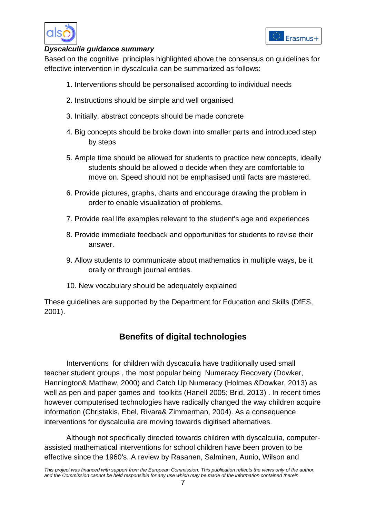

#### *Dyscalculia guidance summary*

Based on the cognitive principles highlighted above the consensus on guidelines for effective intervention in dyscalculia can be summarized as follows:

- 1. Interventions should be personalised according to individual needs
- 2. Instructions should be simple and well organised
- 3. Initially, abstract concepts should be made concrete
- 4. Big concepts should be broke down into smaller parts and introduced step by steps
- 5. Ample time should be allowed for students to practice new concepts, ideally students should be allowed o decide when they are comfortable to move on. Speed should not be emphasised until facts are mastered.
- 6. Provide pictures, graphs, charts and encourage drawing the problem in order to enable visualization of problems.
- 7. Provide real life examples relevant to the student's age and experiences
- 8. Provide immediate feedback and opportunities for students to revise their answer.
- 9. Allow students to communicate about mathematics in multiple ways, be it orally or through journal entries.
- 10. New vocabulary should be adequately explained

These guidelines are supported by the Department for Education and Skills (DfES, 2001).

## **Benefits of digital technologies**

Interventions for children with dyscaculia have traditionally used small teacher student groups , the most popular being Numeracy Recovery (Dowker, Hannington& Matthew, 2000) and Catch Up Numeracy (Holmes &Dowker, 2013) as well as pen and paper games and toolkits (Hanell 2005; Brid, 2013) . In recent times however computerised technologies have radically changed the way children acquire information (Christakis, Ebel, Rivara& Zimmerman, 2004). As a consequence interventions for dyscalculia are moving towards digitised alternatives.

Although not specifically directed towards children with dyscalculia, computerassisted mathematical interventions for school children have been proven to be effective since the 1960's. A review by Rasanen, Salminen, Aunio, Wilson and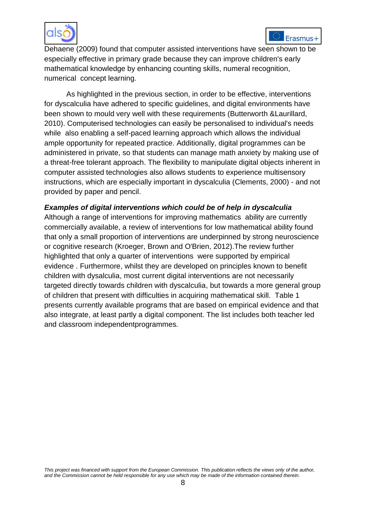



Dehaene (2009) found that computer assisted interventions have seen shown to be especially effective in primary grade because they can improve children's early mathematical knowledge by enhancing counting skills, numeral recognition, numerical concept learning.

As highlighted in the previous section, in order to be effective, interventions for dyscalculia have adhered to specific guidelines, and digital environments have been shown to mould very well with these requirements (Butterworth &Laurillard, 2010). Computerised technologies can easily be personalised to individual's needs while also enabling a self-paced learning approach which allows the individual ample opportunity for repeated practice. Additionally, digital programmes can be administered in private, so that students can manage math anxiety by making use of a threat-free tolerant approach. The flexibility to manipulate digital objects inherent in computer assisted technologies also allows students to experience multisensory instructions, which are especially important in dyscalculia (Clements, 2000) - and not provided by paper and pencil.

#### *Examples of digital interventions which could be of help in dyscalculia*

Although a range of interventions for improving mathematics ability are currently commercially available, a review of interventions for low mathematical ability found that only a small proportion of interventions are underpinned by strong neuroscience or cognitive research (Kroeger, Brown and O'Brien, 2012).The review further highlighted that only a quarter of interventions were supported by empirical evidence . Furthermore, whilst they are developed on principles known to benefit children with dysalculia, most current digital interventions are not necessarily targeted directly towards children with dyscalculia, but towards a more general group of children that present with difficulties in acquiring mathematical skill. Table 1 presents currently available programs that are based on empirical evidence and that also integrate, at least partly a digital component. The list includes both teacher led and classroom independentprogrammes.

*This project was financed with support from the European Commission. This publication reflects the views only of the author, and the Commission cannot be held responsible for any use which may be made of the information contained therein.*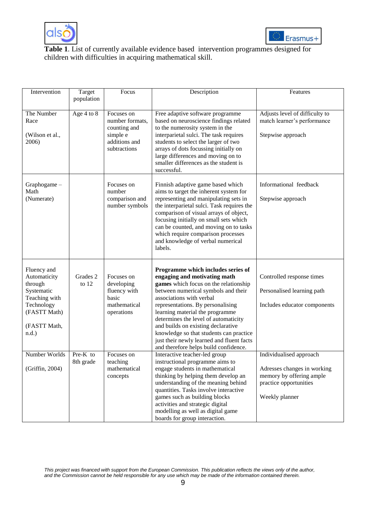



#### **Table 1**. List of currently available evidence based intervention programmes designed for children with difficulties in acquiring mathematical skill.

| Intervention                                                                                                                    | Target<br>population  | Focus                                                                                      | Description                                                                                                                                                                                                                                                                                                                                                                                                                                                           | Features                                                                                                                       |
|---------------------------------------------------------------------------------------------------------------------------------|-----------------------|--------------------------------------------------------------------------------------------|-----------------------------------------------------------------------------------------------------------------------------------------------------------------------------------------------------------------------------------------------------------------------------------------------------------------------------------------------------------------------------------------------------------------------------------------------------------------------|--------------------------------------------------------------------------------------------------------------------------------|
| The Number<br>Race<br>(Wilson et al.,<br>2006)                                                                                  | Age 4 to 8            | Focuses on<br>number formats.<br>counting and<br>simple e<br>additions and<br>subtractions | Free adaptive software programme<br>based on neuroscience findings related<br>to the numerosity system in the<br>interparietal sulci. The task requires<br>students to select the larger of two<br>arrays of dots focussing initially on<br>large differences and moving on to<br>smaller differences as the student is<br>successful.                                                                                                                                | Adjusts level of difficulty to<br>match learner's performance<br>Stepwise approach                                             |
| Graphogame -<br>Math<br>(Numerate)                                                                                              |                       | Focuses on<br>number<br>comparison and<br>number symbols                                   | Finnish adaptive game based which<br>aims to target the inherent system for<br>representing and manipulating sets in<br>the interparietal sulci. Task requires the<br>comparison of visual arrays of object,<br>focusing initially on small sets which<br>can be counted, and moving on to tasks<br>which require comparison processes<br>and knowledge of verbal numerical<br>labels.                                                                                | Informational feedback<br>Stepwise approach                                                                                    |
| Fluency and<br>Automaticity<br>through<br>Systematic<br>Teaching with<br>Technology<br>(FASTT Math)<br>(FASTT Math,<br>$n.d.$ ) | Grades 2<br>to $12$   | Focuses on<br>developing<br>fluency with<br>basic<br>mathematical<br>operations            | Programme which includes series of<br>engaging and motivating math<br>games which focus on the relationship<br>between numerical symbols and their<br>associations with verbal<br>representations. By personalising<br>learning material the programme<br>determines the level of automaticity<br>and builds on existing declarative<br>knowledge so that students can practice<br>just their newly learned and fluent facts<br>and therefore helps build confidence. | Controlled response times<br>Personalised learning path<br>Includes educator components                                        |
| Number Worlds<br>(Griffin, 2004)                                                                                                | Pre-K to<br>8th grade | Focuses on<br>teaching<br>mathematical<br>concepts                                         | Interactive teacher-led group<br>instructional programme aims to<br>engage students in mathematical<br>thinking by helping them develop an<br>understanding of the meaning behind<br>quantities. Tasks involve interactive<br>games such as building blocks<br>activities and strategic digital<br>modelling as well as digital game<br>boards for group interaction.                                                                                                 | Individualised approach<br>Adresses changes in working<br>memory by offering ample<br>practice opportunities<br>Weekly planner |

*This project was financed with support from the European Commission. This publication reflects the views only of the author, and the Commission cannot be held responsible for any use which may be made of the information contained therein.*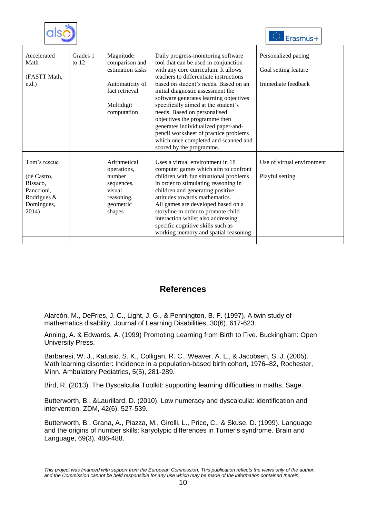|                                                                                             |                     |                                                                                                                   |                                                                                                                                                                                                                                                                                                                                                                                                                                                                                                                                                 | Erasmus+                                                          |
|---------------------------------------------------------------------------------------------|---------------------|-------------------------------------------------------------------------------------------------------------------|-------------------------------------------------------------------------------------------------------------------------------------------------------------------------------------------------------------------------------------------------------------------------------------------------------------------------------------------------------------------------------------------------------------------------------------------------------------------------------------------------------------------------------------------------|-------------------------------------------------------------------|
| Accelerated<br>Math<br>(FASTT Math,<br>$n.d.$ )                                             | Grades 1<br>to $12$ | Magnitude<br>comparison and<br>estimation tasks<br>Automaticity of<br>fact retrieval<br>Multidigit<br>computation | Daily progress-monitoring software<br>tool that can be used in conjunction<br>with any core curriculum. It allows<br>teachers to differentiate instructions<br>based on student's needs. Based on an<br>initial diagnostic assessment the<br>software generates learning objectives<br>specifically aimed at the student's<br>needs. Based on personalised<br>objectives the programme then<br>generates individualized paper-and-<br>pencil worksheet of practice problems<br>which once completed and scanned and<br>scored by the programme. | Personalized pacing<br>Goal setting feature<br>Immediate feedback |
| Tom's rescue<br>(de Castro,<br>Bissaco.<br>Panccioni,<br>Rodrigues &<br>Domingues,<br>2014) |                     | Arithmetical<br>operations,<br>number<br>sequences,<br>visual<br>reasoning,<br>geometric<br>shapes                | Uses a virtual environment in 18<br>computer games which aim to confront<br>children with fun situational problems<br>in order to stimulating reasoning in<br>children and generating positive<br>attitudes towards mathematics.<br>All games are developed based on a<br>storyline in order to promote child<br>interaction whilst also addressing<br>specific cognitive skills such as<br>working memory and spatial reasoning                                                                                                                | Use of virtual environment<br>Playful setting                     |

### **References**

Alarcón, M., DeFries, J. C., Light, J. G., & Pennington, B. F. (1997). A twin study of mathematics disability. Journal of Learning Disabilities, 30(6), 617-623.

Anning, A. & Edwards, A. (1999) Promoting Learning from Birth to Five. Buckingham: Open University Press.

Barbaresi, W. J., Katusic, S. K., Colligan, R. C., Weaver, A. L., & Jacobsen, S. J. (2005). Math learning disorder: Incidence in a population-based birth cohort, 1976–82, Rochester, Minn. Ambulatory Pediatrics, 5(5), 281-289.

Bird, R. (2013). The Dyscalculia Toolkit: supporting learning difficulties in maths. Sage.

Butterworth, B., &Laurillard, D. (2010). Low numeracy and dyscalculia: identification and intervention. ZDM, 42(6), 527-539.

Butterworth, B., Grana, A., Piazza, M., Girelli, L., Price, C., & Skuse, D. (1999). Language and the origins of number skills: karyotypic differences in Turner's syndrome. Brain and Language, 69(3), 486-488.

*This project was financed with support from the European Commission. This publication reflects the views only of the author, and the Commission cannot be held responsible for any use which may be made of the information contained therein.*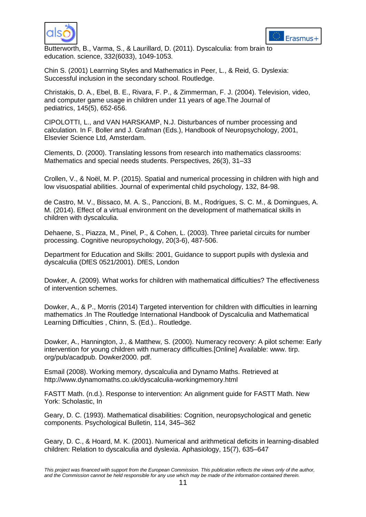



Butterworth, B., Varma, S., & Laurillard, D. (2011). Dyscalculia: from brain to education. science, 332(6033), 1049-1053.

Chin S. (2001) Learrning Styles and Mathematics in Peer, L., & Reid, G. Dyslexia: Successful inclusion in the secondary school. Routledge.

Christakis, D. A., Ebel, B. E., Rivara, F. P., & Zimmerman, F. J. (2004). Television, video, and computer game usage in children under 11 years of age.The Journal of pediatrics, 145(5), 652-656.

CIPOLOTTI, L., and VAN HARSKAMP, N.J. Disturbances of number processing and calculation. In F. Boller and J. Grafman (Eds.), Handbook of Neuropsychology, 2001, Elsevier Science Ltd, Amsterdam.

Clements, D. (2000). Translating lessons from research into mathematics classrooms: Mathematics and special needs students. Perspectives, 26(3), 31–33

Crollen, V., & Noël, M. P. (2015). Spatial and numerical processing in children with high and low visuospatial abilities. Journal of experimental child psychology, 132, 84-98.

de Castro, M. V., Bissaco, M. A. S., Panccioni, B. M., Rodrigues, S. C. M., & Domingues, A. M. (2014). Effect of a virtual environment on the development of mathematical skills in children with dyscalculia.

Dehaene, S., Piazza, M., Pinel, P., & Cohen, L. (2003). Three parietal circuits for number processing. Cognitive neuropsychology, 20(3-6), 487-506.

Department for Education and Skills: 2001, Guidance to support pupils with dyslexia and dyscalculia (DfES 0521/2001). DfES, London

Dowker, A. (2009). What works for children with mathematical difficulties? The effectiveness of intervention schemes.

Dowker, A., & P., Morris (2014) Targeted intervention for children with difficulties in learning mathematics .In The Routledge International Handbook of Dyscalculia and Mathematical Learning Difficulties , Chinn, S. (Ed.).. Routledge.

Dowker, A., Hannington, J., & Matthew, S. (2000). Numeracy recovery: A pilot scheme: Early intervention for young children with numeracy difficulties.[Online] Available: www. tirp. org/pub/acadpub. Dowker2000. pdf.

Esmail (2008). Working memory, dyscalculia and Dynamo Maths. Retrieved at http://www.dynamomaths.co.uk/dyscalculia-workingmemory.html

FASTT Math. (n.d.). Response to intervention: An alignment guide for FASTT Math. New York: Scholastic, In

Geary, D. C. (1993). Mathematical disabilities: Cognition, neuropsychological and genetic components. Psychological Bulletin, 114, 345–362

Geary, D. C., & Hoard, M. K. (2001). Numerical and arithmetical deficits in learning-disabled children: Relation to dyscalculia and dyslexia. Aphasiology, 15(7), 635–647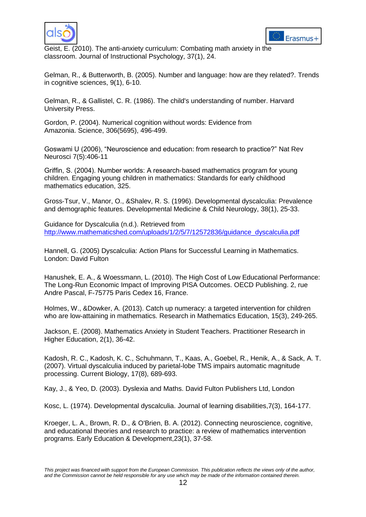



Geist, E. (2010). The anti-anxiety curriculum: Combating math anxiety in the classroom. Journal of Instructional Psychology, 37(1), 24.

Gelman, R., & Butterworth, B. (2005). Number and language: how are they related?. Trends in cognitive sciences, 9(1), 6-10.

Gelman, R., & Gallistel, C. R. (1986). The child's understanding of number. Harvard University Press.

Gordon, P. (2004). Numerical cognition without words: Evidence from Amazonia. Science, 306(5695), 496-499.

Goswami U (2006), "Neuroscience and education: from research to practice?" Nat Rev Neurosci 7(5):406-11

Griffin, S. (2004). Number worlds: A research-based mathematics program for young children. Engaging young children in mathematics: Standards for early childhood mathematics education, 325.

Gross‐Tsur, V., Manor, O., &Shalev, R. S. (1996). Developmental dyscalculia: Prevalence and demographic features. Developmental Medicine & Child Neurology, 38(1), 25-33.

Guidance for Dyscalculia (n.d.). Retrieved from [http://www.mathematicshed.com/uploads/1/2/5/7/12572836/guidance\\_dyscalculia.pdf](http://www.mathematicshed.com/uploads/1/2/5/7/12572836/guidance_dyscalculia.pdf)

Hannell, G. (2005) Dyscalculia: Action Plans for Successful Learning in Mathematics. London: David Fulton

Hanushek, E. A., & Woessmann, L. (2010). The High Cost of Low Educational Performance: The Long-Run Economic Impact of Improving PISA Outcomes. OECD Publishing. 2, rue Andre Pascal, F-75775 Paris Cedex 16, France.

Holmes, W., &Dowker, A. (2013). Catch up numeracy: a targeted intervention for children who are low-attaining in mathematics. Research in Mathematics Education, 15(3), 249-265.

Jackson, E. (2008). Mathematics Anxiety in Student Teachers. Practitioner Research in Higher Education, 2(1), 36-42.

Kadosh, R. C., Kadosh, K. C., Schuhmann, T., Kaas, A., Goebel, R., Henik, A., & Sack, A. T. (2007). Virtual dyscalculia induced by parietal-lobe TMS impairs automatic magnitude processing. Current Biology, 17(8), 689-693.

Kay, J., & Yeo, D. (2003). Dyslexia and Maths. David Fulton Publishers Ltd, London

Kosc, L. (1974). Developmental dyscalculia. Journal of learning disabilities,7(3), 164-177.

Kroeger, L. A., Brown, R. D., & O'Brien, B. A. (2012). Connecting neuroscience, cognitive, and educational theories and research to practice: a review of mathematics intervention programs. Early Education & Development,23(1), 37-58.

*This project was financed with support from the European Commission. This publication reflects the views only of the author, and the Commission cannot be held responsible for any use which may be made of the information contained therein.*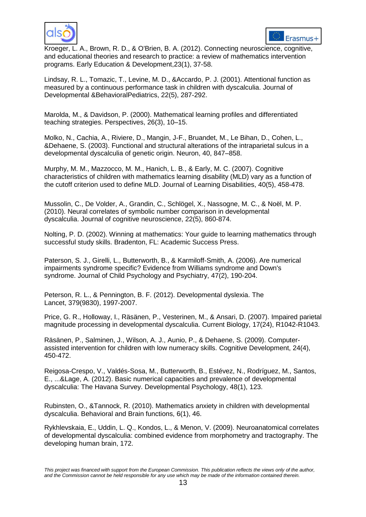



Kroeger, L. A., Brown, R. D., & O'Brien, B. A. (2012). Connecting neuroscience, cognitive, and educational theories and research to practice: a review of mathematics intervention programs. Early Education & Development,23(1), 37-58.

Lindsay, R. L., Tomazic, T., Levine, M. D., &Accardo, P. J. (2001). Attentional function as measured by a continuous performance task in children with dyscalculia. Journal of Developmental &BehavioralPediatrics, 22(5), 287-292.

Marolda, M., & Davidson, P. (2000). Mathematical learning profiles and differentiated teaching strategies. Perspectives, 26(3), 10–15.

Molko, N., Cachia, A., Riviere, D., Mangin, J-F., Bruandet, M., Le Bihan, D., Cohen, L., &Dehaene, S. (2003). Functional and structural alterations of the intraparietal sulcus in a developmental dyscalculia of genetic origin. Neuron, 40, 847–858.

Murphy, M. M., Mazzocco, M. M., Hanich, L. B., & Early, M. C. (2007). Cognitive characteristics of children with mathematics learning disability (MLD) vary as a function of the cutoff criterion used to define MLD. Journal of Learning Disabilities, 40(5), 458-478.

Mussolin, C., De Volder, A., Grandin, C., Schlögel, X., Nassogne, M. C., & Noël, M. P. (2010). Neural correlates of symbolic number comparison in developmental dyscalculia. Journal of cognitive neuroscience, 22(5), 860-874.

Nolting, P. D. (2002). Winning at mathematics: Your guide to learning mathematics through successful study skills. Bradenton, FL: Academic Success Press.

Paterson, S. J., Girelli, L., Butterworth, B., & Karmiloff‐Smith, A. (2006). Are numerical impairments syndrome specific? Evidence from Williams syndrome and Down's syndrome. Journal of Child Psychology and Psychiatry, 47(2), 190-204.

Peterson, R. L., & Pennington, B. F. (2012). Developmental dyslexia. The Lancet, 379(9830), 1997-2007.

Price, G. R., Holloway, I., Räsänen, P., Vesterinen, M., & Ansari, D. (2007). Impaired parietal magnitude processing in developmental dyscalculia. Current Biology, 17(24), R1042-R1043.

Räsänen, P., Salminen, J., Wilson, A. J., Aunio, P., & Dehaene, S. (2009). Computerassisted intervention for children with low numeracy skills. Cognitive Development, 24(4), 450-472.

Reigosa-Crespo, V., Valdés-Sosa, M., Butterworth, B., Estévez, N., Rodríguez, M., Santos, E., ...&Lage, A. (2012). Basic numerical capacities and prevalence of developmental dyscalculia: The Havana Survey. Developmental Psychology, 48(1), 123.

Rubinsten, O., &Tannock, R. (2010). Mathematics anxiety in children with developmental dyscalculia. Behavioral and Brain functions, 6(1), 46.

Rykhlevskaia, E., Uddin, L. Q., Kondos, L., & Menon, V. (2009). Neuroanatomical correlates of developmental dyscalculia: combined evidence from morphometry and tractography. The developing human brain, 172.

*This project was financed with support from the European Commission. This publication reflects the views only of the author, and the Commission cannot be held responsible for any use which may be made of the information contained therein.*